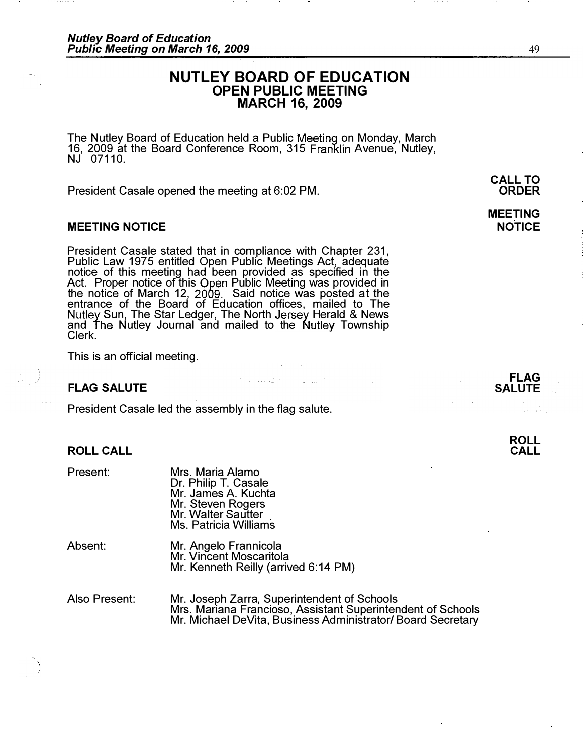# NUTLEY BOARD OF EDUCATION OPEN PUBLIC MEETING MARCH 16, 2009

The Nutley Board of Education held a Public Meeting on Monday, March 16, 2009 at the Board Conference Room, 315 Franklin Avenue, Nutley,  $NJ$  07110.

President Casale opened the meeting at 6:02 PM.

## MEETING NOTICE

President Casale stated that in compliance with Chapter 231, Public Law 1975 entitled Open Public Meetings Act, adequate notice of this meeting had been provided as specified in the Act. Proper notice of this Open Public Meeting was provided in the notice of March 12, 2009. Said notice was posted at the entrance of the Board of Education offices, mailed to The Sun, The Star Ledger, The North Jersey Herald & News and The Nutley Journal and mailed to the Nutley Township Clerk.

رمانی<br>این مقام میکنند و با این ایرانی

This is an official meeting.

#### FLAG SALUTE

\ )

President Casale led the assembly in the flag salute.

| Present:      | Mrs. Maria Alamo<br>Dr. Philip T. Casale<br>Mr. James A. Kuchta<br>Mr. Steven Rogers<br>Mr. Walter Sautter<br><b>Ms. Patricia Williams</b> |
|---------------|--------------------------------------------------------------------------------------------------------------------------------------------|
| Absent:       | Mr. Angelo Frannicola<br>Mr. Vincent Moscaritola<br>Mr. Kenneth Reilly (arrived 6:14 PM)                                                   |
| Also Present: | Mr. Joseph Zarra, Superintendent of Schoo<br>Mrs. Mariana Francioso, Assistant Superint                                                    |

Mr. Joseph Zarra, Superintendent of Schools Mrs. Mariana Francioso, Assistant Superintendent of Schools

Mr. Michael DeVita, Business Administrator/ Board Secretary

 $\mathbf{w} = \frac{1}{2} \mathbf{w}^T \mathbf{w}^T \mathbf{w}^T \mathbf{w}^T \mathbf{w}$ 

FLAG **SALUTE** 

# MEETING

NOTICE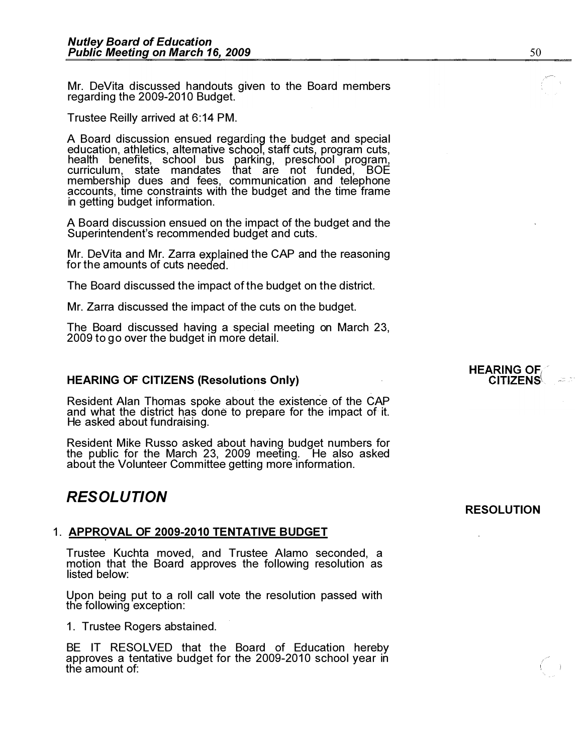Mr. DeVita discussed handouts given to the Board members regarding the 2009-2010 Budget.

Trustee Reilly arrived at 6:14 PM.

A Board discussion ensued regarding the budget and special education, athletics, alternative school, staff cuts, program cuts, health benefits, school bus parking, preschool program, curriculum, state mandates that are not funded, BOE membership dues and fees, communication and telephone accounts, time constraints with the budget and the time frame in getting budget information.

A Board discussion ensued on the impact of the budget and the Superintendent's recommended budget and cuts.

Mr. DeVita and Mr. Zarra explained the CAP and the reasoning for the amounts of cuts

The Board discussed the impact of the budget on the district.

Mr. Zarra discussed the impact of the cuts on the budget.

The Board discussed having a special meeting on March 23, 2009 to go over the budget in more detail.

#### HEARING OF CITIZENS (Resolutions Only)

Resident Alan Thomas spoke about the existence of the CAP and what the district has done to prepare for the impact of it. He asked about fundraising.

Resident Mike Russo asked about having budget numbers for the public for the March 23, 2009 meeting. He also asked about the Volunteer Committee getting more information.

# RESOLUTION

## 1. APPROVAL OF 2009-2010 TENTATIVE BUDGET

Trustee Kuchta moved, and Trustee Alamo seconded, a motion that the Board approves the following resolution as listed below:

Upon being put to a roll call vote the resolution passed with the following exception:

1. Trustee Rogers abstained.

BE IT RESOLVED that the Board of Education hereby approves a tentative budget for the 2009-2010 school year in the amount of:

#### **HEARING OF CITIZENS**

# RESOLUTION